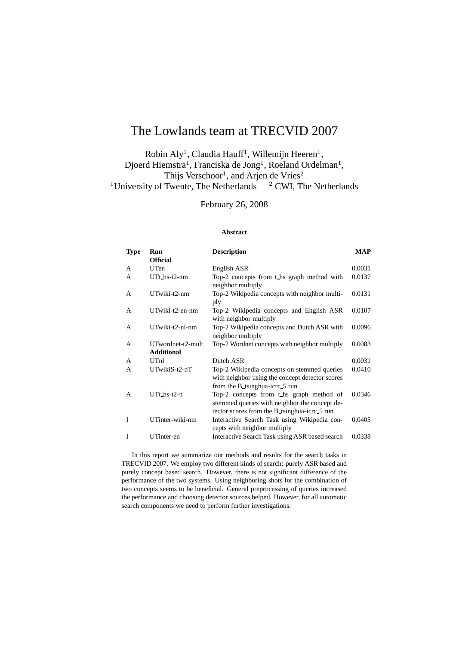# The Lowlands team at TRECVID 2007

Robin Aly<sup>1</sup>, Claudia Hauff<sup>1</sup>, Willemijn Heeren<sup>1</sup>, Djoerd Hiemstra<sup>1</sup>, Franciska de Jong<sup>1</sup>, Roeland Ordelman<sup>1</sup>, Thijs Verschoor<sup>1</sup>, and Arjen de Vries<sup>2</sup> <sup>1</sup>University of Twente, The Netherlands  $2$  CWI, The Netherlands

February 26, 2008

#### **Abstract**

| <b>Type</b> | Run                      | <b>Description</b>                                                                                                                        | <b>MAP</b> |
|-------------|--------------------------|-------------------------------------------------------------------------------------------------------------------------------------------|------------|
|             | <b>Official</b>          |                                                                                                                                           |            |
| A           | UTen                     | English ASR                                                                                                                               | 0.0031     |
| A           | $UTt$ hs- $t2$ -nm       | Top-2 concepts from t_hs graph method with<br>neighbor multiply                                                                           | 0.0137     |
| A           | UTwiki-t2-nm             | Top-2 Wikipedia concepts with neighbor multi-<br>ply                                                                                      | 0.0131     |
| A           | UTwiki-t2-en-nm          | Top-2 Wikipedia concepts and English ASR<br>with neighbor multiply                                                                        | 0.0107     |
| A           | UTwiki-t2-nl-nm          | Top-2 Wikipedia concepts and Dutch ASR with<br>neighbor multiply                                                                          | 0.0096     |
| A           | UTwordnet-t2-mult        | Top-2 Wordnet concepts with neighbor multiply                                                                                             | 0.0083     |
|             | <b>Additional</b>        |                                                                                                                                           |            |
| A           | UTnl                     | Dutch ASR                                                                                                                                 | 0.0031     |
| A           | UTwikiS-t2-nT            | Top-2 Wikipedia concepts on stemmed queries<br>with neighbor using the concept detector scores<br>from the B tsinghua-icrc 5 run          | 0.0410     |
| A           | $UTt$ <sub>hs-t2-n</sub> | Top-2 concepts from t_hs graph method of<br>stemmed queries with neighbor the concept de-<br>tector scores from the B tsinghua-icrc 5 run | 0.0346     |
| I           | UTinter-wiki-nm          | Interactive Search Task using Wikipedia con-<br>cepts with neighbor multiply                                                              | 0.0405     |
| I           | UTinter-en               | Interactive Search Task using ASR based search                                                                                            | 0.0338     |

In this report we summarize our methods and results for the search tasks in TRECVID 2007. We employ two different kinds of search: purely ASR based and purely concept based search. However, there is not significant difference of the performance of the two systems. Using neighboring shots for the combination of two concepts seems to be beneficial. General preprocessing of queries increased the performance and choosing detector sources helped. However, for all automatic search components we need to perform further investigations.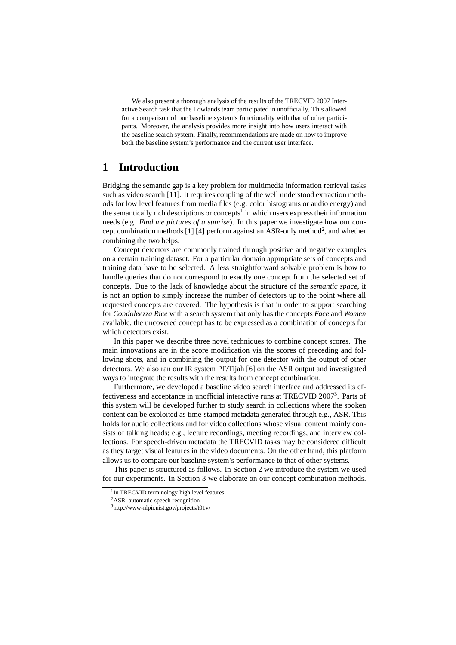We also present a thorough analysis of the results of the TRECVID 2007 Interactive Search task that the Lowlands team participated in unofficially. This allowed for a comparison of our baseline system's functionality with that of other participants. Moreover, the analysis provides more insight into how users interact with the baseline search system. Finally, recommendations are made on how to improve both the baseline system's performance and the current user interface.

# **1 Introduction**

Bridging the semantic gap is a key problem for multimedia information retrieval tasks such as video search [11]. It requires coupling of the well understood extraction methods for low level features from media files (e.g. color histograms or audio energy) and the semantically rich descriptions or concepts<sup>1</sup> in which users express their information needs (e.g. *Find me pictures of a sunrise*). In this paper we investigate how our concept combination methods [1] [4] perform against an ASR-only method<sup>2</sup>, and whether combining the two helps.

Concept detectors are commonly trained through positive and negative examples on a certain training dataset. For a particular domain appropriate sets of concepts and training data have to be selected. A less straightforward solvable problem is how to handle queries that do not correspond to exactly one concept from the selected set of concepts. Due to the lack of knowledge about the structure of the *semantic space*, it is not an option to simply increase the number of detectors up to the point where all requested concepts are covered. The hypothesis is that in order to support searching for *Condoleezza Rice* with a search system that only has the concepts *Face* and *Women* available, the uncovered concept has to be expressed as a combination of concepts for which detectors exist.

In this paper we describe three novel techniques to combine concept scores. The main innovations are in the score modification via the scores of preceding and following shots, and in combining the output for one detector with the output of other detectors. We also ran our IR system PF/Tijah [6] on the ASR output and investigated ways to integrate the results with the results from concept combination.

Furthermore, we developed a baseline video search interface and addressed its effectiveness and acceptance in unofficial interactive runs at TRECVID 2007<sup>3</sup>. Parts of this system will be developed further to study search in collections where the spoken content can be exploited as time-stamped metadata generated through e.g., ASR. This holds for audio collections and for video collections whose visual content mainly consists of talking heads; e.g., lecture recordings, meeting recordings, and interview collections. For speech-driven metadata the TRECVID tasks may be considered difficult as they target visual features in the video documents. On the other hand, this platform allows us to compare our baseline system's performance to that of other systems.

This paper is structured as follows. In Section 2 we introduce the system we used for our experiments. In Section 3 we elaborate on our concept combination methods.

<sup>1</sup> In TRECVID terminology high level features

<sup>2</sup>ASR: automatic speech recognition

 $3$ http://www-nlpir.nist.gov/projects/t01v/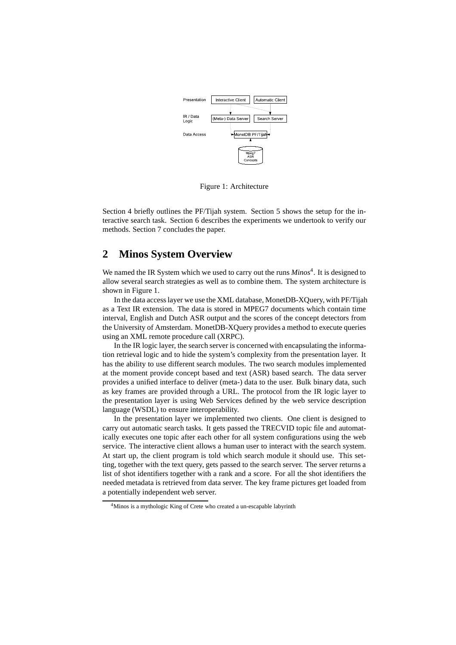

Figure 1: Architecture

Section 4 briefly outlines the PF/Tijah system. Section 5 shows the setup for the interactive search task. Section 6 describes the experiments we undertook to verify our methods. Section 7 concludes the paper.

# **2 Minos System Overview**

We named the IR System which we used to carry out the runs *Minos*<sup>4</sup>. It is designed to allow several search strategies as well as to combine them. The system architecture is shown in Figure 1.

In the data access layer we use the XML database, MonetDB-XQuery, with PF/Tijah as a Text IR extension. The data is stored in MPEG7 documents which contain time interval, English and Dutch ASR output and the scores of the concept detectors from the University of Amsterdam. MonetDB-XQuery provides a method to execute queries using an XML remote procedure call (XRPC).

In the IR logic layer, the search server is concerned with encapsulating the information retrieval logic and to hide the system's complexity from the presentation layer. It has the ability to use different search modules. The two search modules implemented at the moment provide concept based and text (ASR) based search. The data server provides a unified interface to deliver (meta-) data to the user. Bulk binary data, such as key frames are provided through a URL. The protocol from the IR logic layer to the presentation layer is using Web Services defined by the web service description language (WSDL) to ensure interoperability.

In the presentation layer we implemented two clients. One client is designed to carry out automatic search tasks. It gets passed the TRECVID topic file and automatically executes one topic after each other for all system configurations using the web service. The interactive client allows a human user to interact with the search system. At start up, the client program is told which search module it should use. This setting, together with the text query, gets passed to the search server. The server returns a list of shot identifiers together with a rank and a score. For all the shot identifiers the needed metadata is retrieved from data server. The key frame pictures get loaded from a potentially independent web server.

<sup>&</sup>lt;sup>4</sup>Minos is a mythologic King of Crete who created a un-escapable labyrinth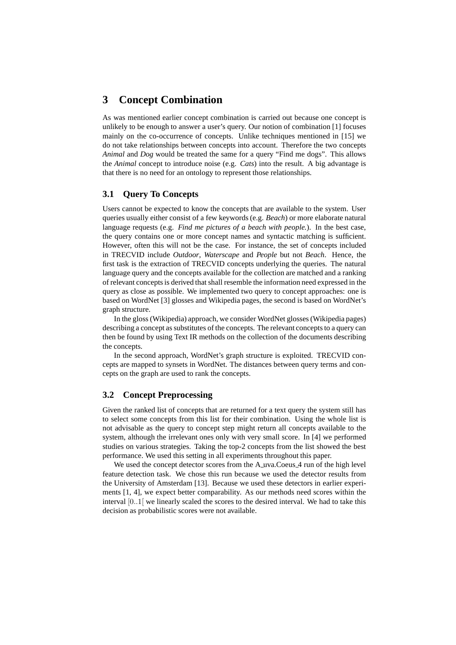# **3 Concept Combination**

As was mentioned earlier concept combination is carried out because one concept is unlikely to be enough to answer a user's query. Our notion of combination [1] focuses mainly on the co-occurrence of concepts. Unlike techniques mentioned in [15] we do not take relationships between concepts into account. Therefore the two concepts *Animal* and *Dog* would be treated the same for a query "Find me dogs". This allows the *Animal* concept to introduce noise (e.g. *Cats*) into the result. A big advantage is that there is no need for an ontology to represent those relationships.

### **3.1 Query To Concepts**

Users cannot be expected to know the concepts that are available to the system. User queries usually either consist of a few keywords (e.g. *Beach*) or more elaborate natural language requests (e.g. *Find me pictures of a beach with people.*). In the best case, the query contains one or more concept names and syntactic matching is sufficient. However, often this will not be the case. For instance, the set of concepts included in TRECVID include *Outdoor*, *Waterscape* and *People* but not *Beach*. Hence, the first task is the extraction of TRECVID concepts underlying the queries. The natural language query and the concepts available for the collection are matched and a ranking of relevant concepts is derived that shall resemble the information need expressed in the query as close as possible. We implemented two query to concept approaches: one is based on WordNet [3] glosses and Wikipedia pages, the second is based on WordNet's graph structure.

In the gloss (Wikipedia) approach, we consider WordNet glosses (Wikipedia pages) describing a concept as substitutes of the concepts. The relevant concepts to a query can then be found by using Text IR methods on the collection of the documents describing the concepts.

In the second approach, WordNet's graph structure is exploited. TRECVID concepts are mapped to synsets in WordNet. The distances between query terms and concepts on the graph are used to rank the concepts.

### **3.2 Concept Preprocessing**

Given the ranked list of concepts that are returned for a text query the system still has to select some concepts from this list for their combination. Using the whole list is not advisable as the query to concept step might return all concepts available to the system, although the irrelevant ones only with very small score. In [4] we performed studies on various strategies. Taking the top-2 concepts from the list showed the best performance. We used this setting in all experiments throughout this paper.

We used the concept detector scores from the A uva.Coeus 4 run of the high level feature detection task. We chose this run because we used the detector results from the University of Amsterdam [13]. Because we used these detectors in earlier experiments [1, 4], we expect better comparability. As our methods need scores within the interval [0..1[ we linearly scaled the scores to the desired interval. We had to take this decision as probabilistic scores were not available.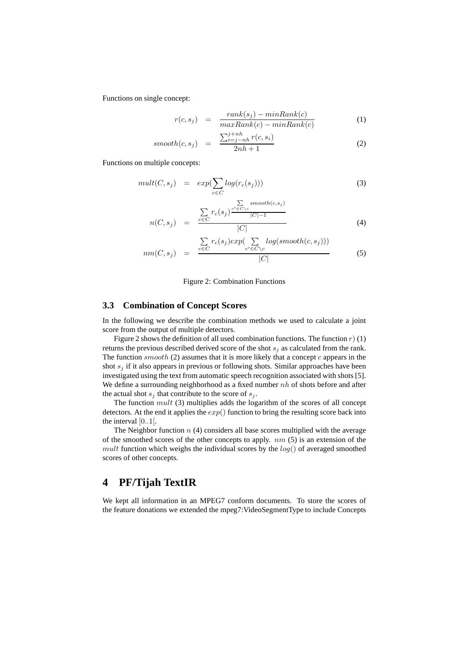Functions on single concept:

$$
r(c, s_j) = \frac{rank(s_j) - minRank(c)}{maxRank(c) - minRank(c)}
$$
(1)

$$
smooth(c,s_j) = \frac{\sum_{i=j-nh}^{j+nh} r(c,s_i)}{2nh+1}
$$
 (2)

Functions on multiple concepts:

$$
mult(C, s_j) = exp(\sum_{c \in C} log(r_c(s_j)))
$$
\n(3)

$$
n(C, s_j) = \frac{\sum\limits_{c \in C} r_c(s_j) \frac{\sum\limits_{c' \in C \setminus c} smooth(c, s_j)}{|C|-1}}{|C|}
$$
(4)

$$
nm(C, s_j) = \frac{\sum_{c \in C} r_c(s_j) exp(\sum_{c' \in C \setminus c} log(smooth(c, s_j)))}{|C|} \tag{5}
$$

#### Figure 2: Combination Functions

#### **3.3 Combination of Concept Scores**

In the following we describe the combination methods we used to calculate a joint score from the output of multiple detectors.

Figure 2 shows the definition of all used combination functions. The function  $r$ ) (1) returns the previous described derived score of the shot  $s_i$  as calculated from the rank. The function  $smooth(2)$  assumes that it is more likely that a concept  $c$  appears in the shot  $s_i$  if it also appears in previous or following shots. Similar approaches have been investigated using the text from automatic speech recognition associated with shots [5]. We define a surrounding neighborhood as a fixed number  $nh$  of shots before and after the actual shot  $s_j$  that contribute to the score of  $s_j$ .

The function  $mult(3)$  multiplies adds the logarithm of the scores of all concept detectors. At the end it applies the  $exp()$  function to bring the resulting score back into the interval [0..1[.

The Neighbor function  $n$  (4) considers all base scores multiplied with the average of the smoothed scores of the other concepts to apply.  $nm(5)$  is an extension of the mult function which weighs the individual scores by the  $log()$  of averaged smoothed scores of other concepts.

# **4 PF/Tijah TextIR**

We kept all information in an MPEG7 conform documents. To store the scores of the feature donations we extended the mpeg7:VideoSegmentType to include Concepts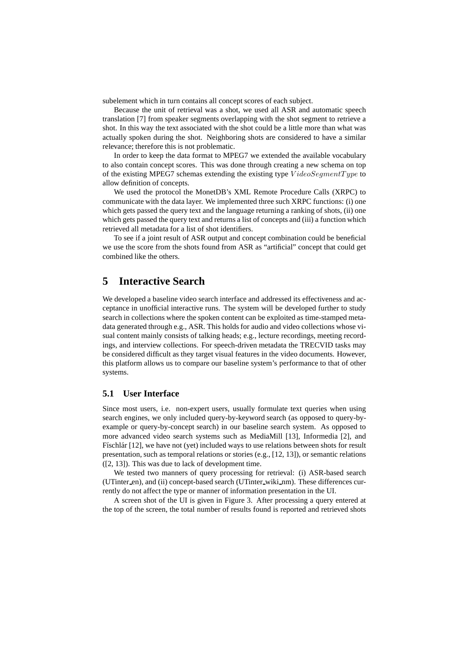subelement which in turn contains all concept scores of each subject.

Because the unit of retrieval was a shot, we used all ASR and automatic speech translation [7] from speaker segments overlapping with the shot segment to retrieve a shot. In this way the text associated with the shot could be a little more than what was actually spoken during the shot. Neighboring shots are considered to have a similar relevance; therefore this is not problematic.

In order to keep the data format to MPEG7 we extended the available vocabulary to also contain concept scores. This was done through creating a new schema on top of the existing MPEG7 schemas extending the existing type  $VideoSegmentTwo$  to allow definition of concepts.

We used the protocol the MonetDB's XML Remote Procedure Calls (XRPC) to communicate with the data layer. We implemented three such XRPC functions: (i) one which gets passed the query text and the language returning a ranking of shots, (ii) one which gets passed the query text and returns a list of concepts and (iii) a function which retrieved all metadata for a list of shot identifiers.

To see if a joint result of ASR output and concept combination could be beneficial we use the score from the shots found from ASR as "artificial" concept that could get combined like the others.

# **5 Interactive Search**

We developed a baseline video search interface and addressed its effectiveness and acceptance in unofficial interactive runs. The system will be developed further to study search in collections where the spoken content can be exploited as time-stamped metadata generated through e.g., ASR. This holds for audio and video collections whose visual content mainly consists of talking heads; e.g., lecture recordings, meeting recordings, and interview collections. For speech-driven metadata the TRECVID tasks may be considered difficult as they target visual features in the video documents. However, this platform allows us to compare our baseline system's performance to that of other systems.

### **5.1 User Interface**

Since most users, i.e. non-expert users, usually formulate text queries when using search engines, we only included query-by-keyword search (as opposed to query-byexample or query-by-concept search) in our baseline search system. As opposed to more advanced video search systems such as MediaMill [13], Informedia [2], and Físchlár [12], we have not (yet) included ways to use relations between shots for result presentation, such as temporal relations or stories (e.g., [12, 13]), or semantic relations ([2, 13]). This was due to lack of development time.

We tested two manners of query processing for retrieval: (i) ASR-based search (UTinter en), and (ii) concept-based search (UTinter wiki nm). These differences currently do not affect the type or manner of information presentation in the UI.

A screen shot of the UI is given in Figure 3. After processing a query entered at the top of the screen, the total number of results found is reported and retrieved shots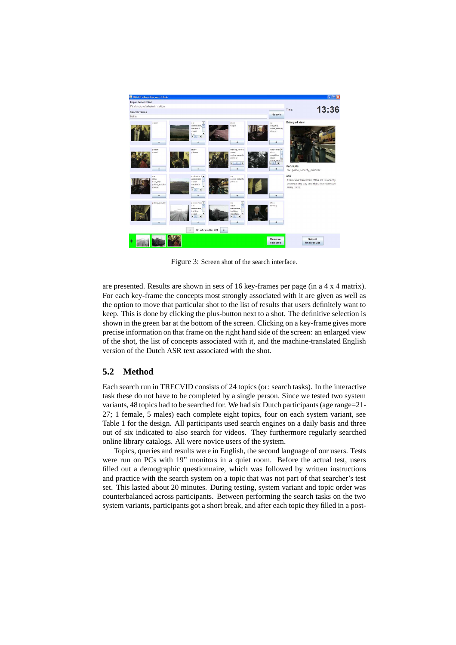

Figure 3: Screen shot of the search interface.

are presented. Results are shown in sets of 16 key-frames per page (in a 4 x 4 matrix). For each key-frame the concepts most strongly associated with it are given as well as the option to move that particular shot to the list of results that users definitely want to keep. This is done by clicking the plus-button next to a shot. The definitive selection is shown in the green bar at the bottom of the screen. Clicking on a key-frame gives more precise information on that frame on the right hand side of the screen: an enlarged view of the shot, the list of concepts associated with it, and the machine-translated English version of the Dutch ASR text associated with the shot.

### **5.2 Method**

Each search run in TRECVID consists of 24 topics (or: search tasks). In the interactive task these do not have to be completed by a single person. Since we tested two system variants, 48 topics had to be searched for. We had six Dutch participants (age range=21- 27; 1 female, 5 males) each complete eight topics, four on each system variant, see Table 1 for the design. All participants used search engines on a daily basis and three out of six indicated to also search for videos. They furthermore regularly searched online library catalogs. All were novice users of the system.

Topics, queries and results were in English, the second language of our users. Tests were run on PCs with 19" monitors in a quiet room. Before the actual test, users filled out a demographic questionnaire, which was followed by written instructions and practice with the search system on a topic that was not part of that searcher's test set. This lasted about 20 minutes. During testing, system variant and topic order was counterbalanced across participants. Between performing the search tasks on the two system variants, participants got a short break, and after each topic they filled in a post-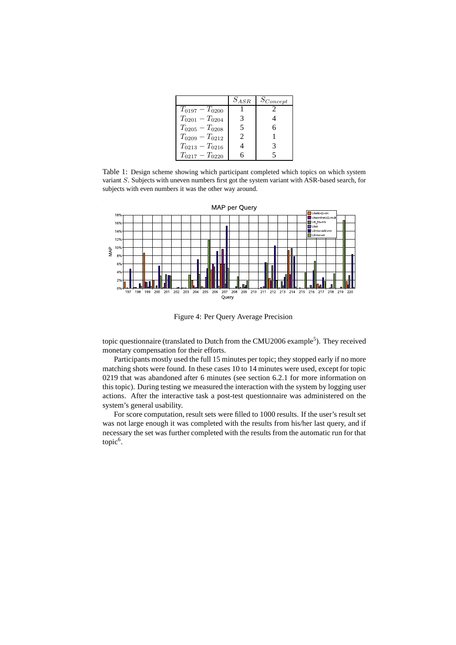|                     | $S_{ASR}$                   | $S_{Concept}$ |
|---------------------|-----------------------------|---------------|
| $T_{0197}-T_{0200}$ |                             |               |
| $T_{0201}-T_{0204}$ | 3                           |               |
| $T_{0205}-T_{0208}$ | 5                           |               |
| $T_{0209}-T_{0212}$ | $\mathcal{D}_{\mathcal{L}}$ |               |
| $T_{0213}-T_{0216}$ |                             |               |
| $T_{0217}-T_{0220}$ |                             |               |

Table 1: Design scheme showing which participant completed which topics on which system variant S. Subjects with uneven numbers first got the system variant with ASR-based search, for subjects with even numbers it was the other way around.



Figure 4: Per Query Average Precision

topic questionnaire (translated to Dutch from the CMU2006 example<sup>5</sup>). They received monetary compensation for their efforts.

Participants mostly used the full 15 minutes per topic; they stopped early if no more matching shots were found. In these cases 10 to 14 minutes were used, except for topic 0219 that was abandoned after 6 minutes (see section 6.2.1 for more information on this topic). During testing we measured the interaction with the system by logging user actions. After the interactive task a post-test questionnaire was administered on the system's general usability.

For score computation, result sets were filled to 1000 results. If the user's result set was not large enough it was completed with the results from his/her last query, and if necessary the set was further completed with the results from the automatic run for that topic<sup>6</sup>.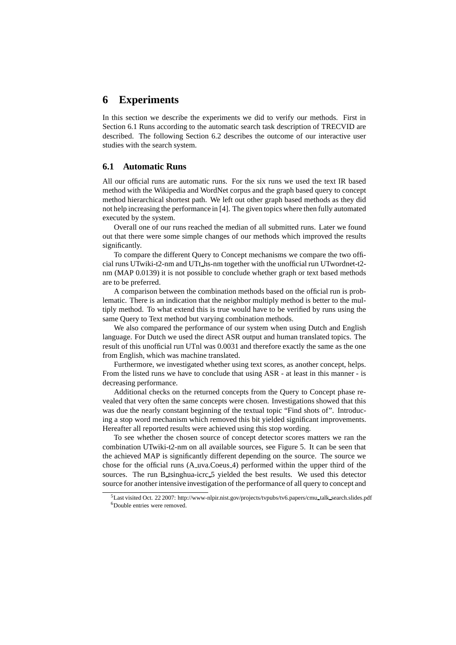# **6 Experiments**

In this section we describe the experiments we did to verify our methods. First in Section 6.1 Runs according to the automatic search task description of TRECVID are described. The following Section 6.2 describes the outcome of our interactive user studies with the search system.

### **6.1 Automatic Runs**

All our official runs are automatic runs. For the six runs we used the text IR based method with the Wikipedia and WordNet corpus and the graph based query to concept method hierarchical shortest path. We left out other graph based methods as they did not help increasing the performance in [4]. The given topics where then fully automated executed by the system.

Overall one of our runs reached the median of all submitted runs. Later we found out that there were some simple changes of our methods which improved the results significantly.

To compare the different Query to Concept mechanisms we compare the two official runs UTwiki-t2-nm and UTt hs-nm together with the unofficial run UTwordnet-t2 nm (MAP 0.0139) it is not possible to conclude whether graph or text based methods are to be preferred.

A comparison between the combination methods based on the official run is problematic. There is an indication that the neighbor multiply method is better to the multiply method. To what extend this is true would have to be verified by runs using the same Query to Text method but varying combination methods.

We also compared the performance of our system when using Dutch and English language. For Dutch we used the direct ASR output and human translated topics. The result of this unofficial run UTnl was 0.0031 and therefore exactly the same as the one from English, which was machine translated.

Furthermore, we investigated whether using text scores, as another concept, helps. From the listed runs we have to conclude that using ASR - at least in this manner - is decreasing performance.

Additional checks on the returned concepts from the Query to Concept phase revealed that very often the same concepts were chosen. Investigations showed that this was due the nearly constant beginning of the textual topic "Find shots of". Introducing a stop word mechanism which removed this bit yielded significant improvements. Hereafter all reported results were achieved using this stop wording.

To see whether the chosen source of concept detector scores matters we ran the combination UTwiki-t2-nm on all available sources, see Figure 5. It can be seen that the achieved MAP is significantly different depending on the source. The source we chose for the official runs (A uva.Coeus 4) performed within the upper third of the sources. The run B\_tsinghua-icrc\_5 yielded the best results. We used this detector source for another intensive investigation of the performance of all query to concept and

<sup>5</sup>Last visited Oct. 22 2007: http://www-nlpir.nist.gov/projects/tvpubs/tv6.papers/cmu talk search.slides.pdf <sup>6</sup>Double entries were removed.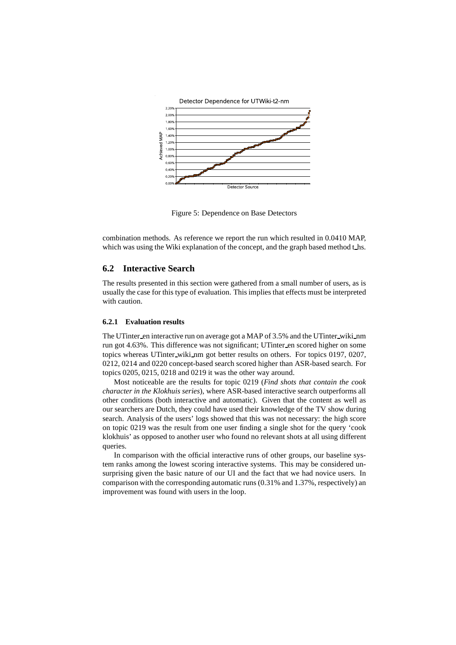

Figure 5: Dependence on Base Detectors

combination methods. As reference we report the run which resulted in 0.0410 MAP, which was using the Wiki explanation of the concept, and the graph based method t\_hs.

### **6.2 Interactive Search**

The results presented in this section were gathered from a small number of users, as is usually the case for this type of evaluation. This implies that effects must be interpreted with caution.

#### **6.2.1 Evaluation results**

The UTinter en interactive run on average got a MAP of 3.5% and the UTinter wiki nm run got 4.63%. This difference was not significant; UTinter en scored higher on some topics whereas UTinter wiki nm got better results on others. For topics 0197, 0207, 0212, 0214 and 0220 concept-based search scored higher than ASR-based search. For topics 0205, 0215, 0218 and 0219 it was the other way around.

Most noticeable are the results for topic 0219 (*Find shots that contain the cook character in the Klokhuis series*), where ASR-based interactive search outperforms all other conditions (both interactive and automatic). Given that the content as well as our searchers are Dutch, they could have used their knowledge of the TV show during search. Analysis of the users' logs showed that this was not necessary: the high score on topic 0219 was the result from one user finding a single shot for the query 'cook klokhuis' as opposed to another user who found no relevant shots at all using different queries.

In comparison with the official interactive runs of other groups, our baseline system ranks among the lowest scoring interactive systems. This may be considered unsurprising given the basic nature of our UI and the fact that we had novice users. In comparison with the corresponding automatic runs (0.31% and 1.37%, respectively) an improvement was found with users in the loop.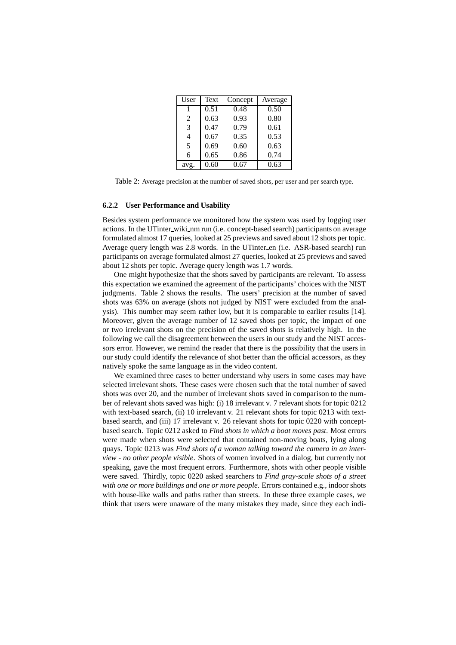| User | Text | Concept | Average |
|------|------|---------|---------|
| 1    | 0.51 | 0.48    | 0.50    |
| 2    | 0.63 | 0.93    | 0.80    |
| 3    | 0.47 | 0.79    | 0.61    |
| 4    | 0.67 | 0.35    | 0.53    |
| 5    | 0.69 | 0.60    | 0.63    |
| 6    | 0.65 | 0.86    | 0.74    |
| avg. | 0.60 | 0.67    | 0.63    |

Table 2: Average precision at the number of saved shots, per user and per search type.

#### **6.2.2 User Performance and Usability**

Besides system performance we monitored how the system was used by logging user actions. In the UTinter wiki nm run (i.e. concept-based search) participants on average formulated almost 17 queries, looked at 25 previews and saved about 12 shots per topic. Average query length was 2.8 words. In the UTinter en (i.e. ASR-based search) run participants on average formulated almost 27 queries, looked at 25 previews and saved about 12 shots per topic. Average query length was 1.7 words.

One might hypothesize that the shots saved by participants are relevant. To assess this expectation we examined the agreement of the participants' choices with the NIST judgments. Table 2 shows the results. The users' precision at the number of saved shots was 63% on average (shots not judged by NIST were excluded from the analysis). This number may seem rather low, but it is comparable to earlier results [14]. Moreover, given the average number of 12 saved shots per topic, the impact of one or two irrelevant shots on the precision of the saved shots is relatively high. In the following we call the disagreement between the users in our study and the NIST accessors error. However, we remind the reader that there is the possibility that the users in our study could identify the relevance of shot better than the official accessors, as they natively spoke the same language as in the video content.

We examined three cases to better understand why users in some cases may have selected irrelevant shots. These cases were chosen such that the total number of saved shots was over 20, and the number of irrelevant shots saved in comparison to the number of relevant shots saved was high: (i) 18 irrelevant v. 7 relevant shots for topic 0212 with text-based search, (ii) 10 irrelevant v. 21 relevant shots for topic 0213 with textbased search, and (iii) 17 irrelevant v. 26 relevant shots for topic 0220 with conceptbased search. Topic 0212 asked to *Find shots in which a boat moves past*. Most errors were made when shots were selected that contained non-moving boats, lying along quays. Topic 0213 was *Find shots of a woman talking toward the camera in an interview - no other people visible*. Shots of women involved in a dialog, but currently not speaking, gave the most frequent errors. Furthermore, shots with other people visible were saved. Thirdly, topic 0220 asked searchers to *Find gray-scale shots of a street with one or more buildings and one or more people*. Errors contained e.g., indoor shots with house-like walls and paths rather than streets. In these three example cases, we think that users were unaware of the many mistakes they made, since they each indi-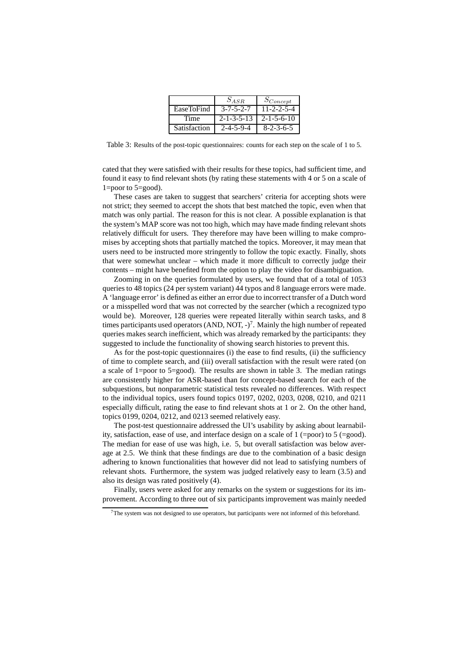|              | $S_{ASR}$            | $S_{Concept}$        |
|--------------|----------------------|----------------------|
| EaseToFind   | $3 - 7 - 5 - 2 - 7$  | $11 - 2 - 2 - 5 - 4$ |
| Time         | $2 - 1 - 3 - 5 - 13$ | $2 - 1 - 5 - 6 - 10$ |
| Satisfaction | $2 - 4 - 5 - 9 - 4$  | $8 - 2 - 3 - 6 - 5$  |

Table 3: Results of the post-topic questionnaires: counts for each step on the scale of 1 to 5.

cated that they were satisfied with their results for these topics, had sufficient time, and found it easy to find relevant shots (by rating these statements with 4 or 5 on a scale of 1=poor to 5=good).

These cases are taken to suggest that searchers' criteria for accepting shots were not strict; they seemed to accept the shots that best matched the topic, even when that match was only partial. The reason for this is not clear. A possible explanation is that the system's MAP score was not too high, which may have made finding relevant shots relatively difficult for users. They therefore may have been willing to make compromises by accepting shots that partially matched the topics. Moreover, it may mean that users need to be instructed more stringently to follow the topic exactly. Finally, shots that were somewhat unclear – which made it more difficult to correctly judge their contents – might have benefited from the option to play the video for disambiguation.

Zooming in on the queries formulated by users, we found that of a total of 1053 queries to 48 topics (24 per system variant) 44 typos and 8 language errors were made. A 'language error' is defined as either an error due to incorrect transfer of a Dutch word or a misspelled word that was not corrected by the searcher (which a recognized typo would be). Moreover, 128 queries were repeated literally within search tasks, and 8 times participants used operators (AND, NOT,  $-$ )<sup>7</sup>. Mainly the high number of repeated queries makes search inefficient, which was already remarked by the participants: they suggested to include the functionality of showing search histories to prevent this.

As for the post-topic questionnaires (i) the ease to find results, (ii) the sufficiency of time to complete search, and (iii) overall satisfaction with the result were rated (on a scale of 1=poor to 5=good). The results are shown in table 3. The median ratings are consistently higher for ASR-based than for concept-based search for each of the subquestions, but nonparametric statistical tests revealed no differences. With respect to the individual topics, users found topics 0197, 0202, 0203, 0208, 0210, and 0211 especially difficult, rating the ease to find relevant shots at 1 or 2. On the other hand, topics 0199, 0204, 0212, and 0213 seemed relatively easy.

The post-test questionnaire addressed the UI's usability by asking about learnability, satisfaction, ease of use, and interface design on a scale of 1 (=poor) to 5 (=good). The median for ease of use was high, i.e. 5, but overall satisfaction was below average at 2.5. We think that these findings are due to the combination of a basic design adhering to known functionalities that however did not lead to satisfying numbers of relevant shots. Furthermore, the system was judged relatively easy to learn (3.5) and also its design was rated positively (4).

Finally, users were asked for any remarks on the system or suggestions for its improvement. According to three out of six participants improvement was mainly needed

 $7$ The system was not designed to use operators, but participants were not informed of this beforehand.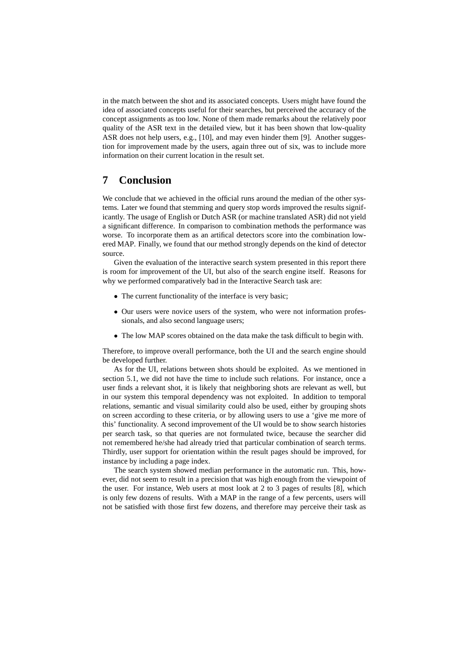in the match between the shot and its associated concepts. Users might have found the idea of associated concepts useful for their searches, but perceived the accuracy of the concept assignments as too low. None of them made remarks about the relatively poor quality of the ASR text in the detailed view, but it has been shown that low-quality ASR does not help users, e.g., [10], and may even hinder them [9]. Another suggestion for improvement made by the users, again three out of six, was to include more information on their current location in the result set.

# **7 Conclusion**

We conclude that we achieved in the official runs around the median of the other systems. Later we found that stemming and query stop words improved the results significantly. The usage of English or Dutch ASR (or machine translated ASR) did not yield a significant difference. In comparison to combination methods the performance was worse. To incorporate them as an artifical detectors score into the combination lowered MAP. Finally, we found that our method strongly depends on the kind of detector source.

Given the evaluation of the interactive search system presented in this report there is room for improvement of the UI, but also of the search engine itself. Reasons for why we performed comparatively bad in the Interactive Search task are:

- The current functionality of the interface is very basic;
- Our users were novice users of the system, who were not information professionals, and also second language users;
- The low MAP scores obtained on the data make the task difficult to begin with.

Therefore, to improve overall performance, both the UI and the search engine should be developed further.

As for the UI, relations between shots should be exploited. As we mentioned in section 5.1, we did not have the time to include such relations. For instance, once a user finds a relevant shot, it is likely that neighboring shots are relevant as well, but in our system this temporal dependency was not exploited. In addition to temporal relations, semantic and visual similarity could also be used, either by grouping shots on screen according to these criteria, or by allowing users to use a 'give me more of this' functionality. A second improvement of the UI would be to show search histories per search task, so that queries are not formulated twice, because the searcher did not remembered he/she had already tried that particular combination of search terms. Thirdly, user support for orientation within the result pages should be improved, for instance by including a page index.

The search system showed median performance in the automatic run. This, however, did not seem to result in a precision that was high enough from the viewpoint of the user. For instance, Web users at most look at 2 to 3 pages of results [8], which is only few dozens of results. With a MAP in the range of a few percents, users will not be satisfied with those first few dozens, and therefore may perceive their task as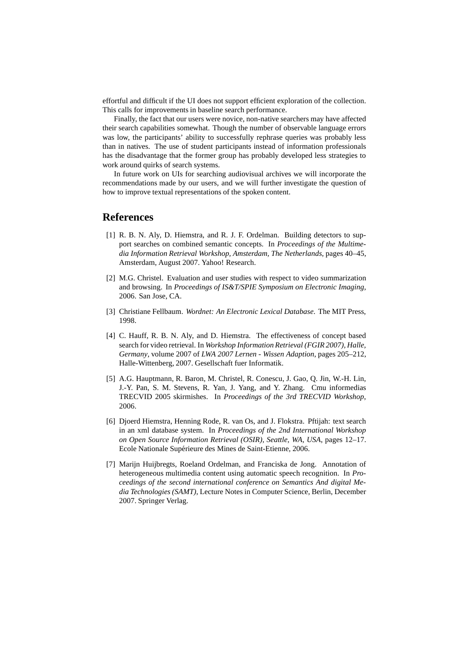effortful and difficult if the UI does not support efficient exploration of the collection. This calls for improvements in baseline search performance.

Finally, the fact that our users were novice, non-native searchers may have affected their search capabilities somewhat. Though the number of observable language errors was low, the participants' ability to successfully rephrase queries was probably less than in natives. The use of student participants instead of information professionals has the disadvantage that the former group has probably developed less strategies to work around quirks of search systems.

In future work on UIs for searching audiovisual archives we will incorporate the recommendations made by our users, and we will further investigate the question of how to improve textual representations of the spoken content.

## **References**

- [1] R. B. N. Aly, D. Hiemstra, and R. J. F. Ordelman. Building detectors to support searches on combined semantic concepts. In *Proceedings of the Multimedia Information Retrieval Workshop, Amsterdam, The Netherlands*, pages 40–45, Amsterdam, August 2007. Yahoo! Research.
- [2] M.G. Christel. Evaluation and user studies with respect to video summarization and browsing. In *Proceedings of IS&T/SPIE Symposium on Electronic Imaging*, 2006. San Jose, CA.
- [3] Christiane Fellbaum. *Wordnet: An Electronic Lexical Database*. The MIT Press, 1998.
- [4] C. Hauff, R. B. N. Aly, and D. Hiemstra. The effectiveness of concept based search for video retrieval. In *Workshop Information Retrieval (FGIR 2007), Halle, Germany*, volume 2007 of *LWA 2007 Lernen - Wissen Adaption*, pages 205–212, Halle-Wittenberg, 2007. Gesellschaft fuer Informatik.
- [5] A.G. Hauptmann, R. Baron, M. Christel, R. Conescu, J. Gao, Q. Jin, W.-H. Lin, J.-Y. Pan, S. M. Stevens, R. Yan, J. Yang, and Y. Zhang. Cmu informedias TRECVID 2005 skirmishes. In *Proceedings of the 3rd TRECVID Workshop*, 2006.
- [6] Djoerd Hiemstra, Henning Rode, R. van Os, and J. Flokstra. Pftijah: text search in an xml database system. In *Proceedings of the 2nd International Workshop on Open Source Information Retrieval (OSIR), Seattle, WA, USA*, pages 12–17. Ecole Nationale Supérieure des Mines de Saint-Etienne, 2006.
- [7] Marijn Huijbregts, Roeland Ordelman, and Franciska de Jong. Annotation of heterogeneous multimedia content using automatic speech recognition. In *Proceedings of the second international conference on Semantics And digital Media Technologies (SAMT)*, Lecture Notes in Computer Science, Berlin, December 2007. Springer Verlag.